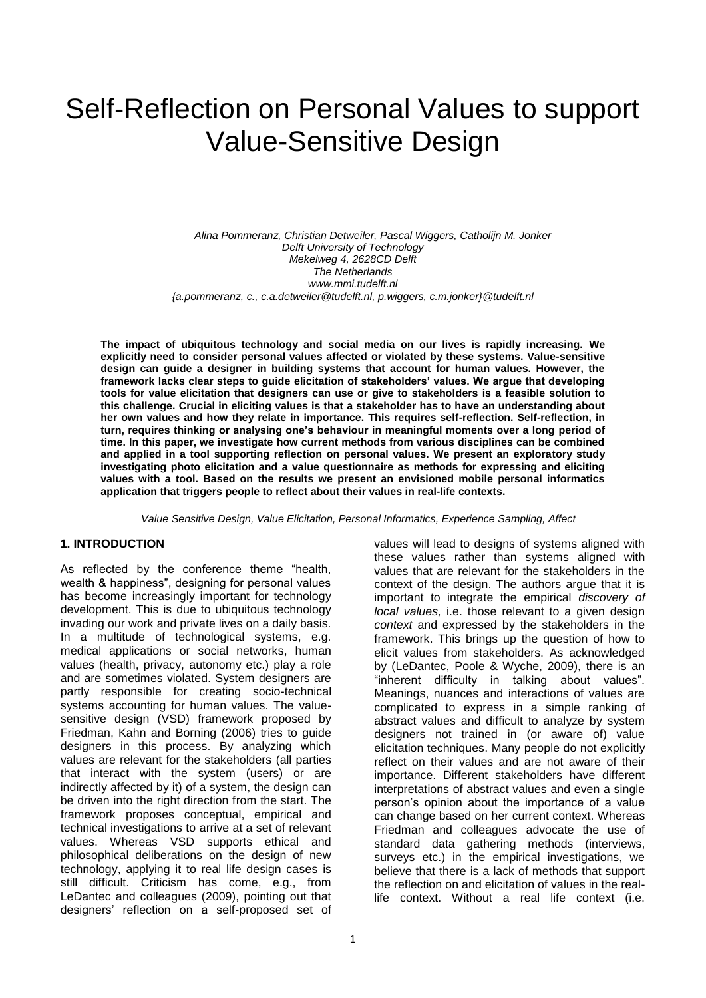# Self-Reflection on Personal Values to support Value-Sensitive Design

*Alina Pommeranz, Christian Detweiler, Pascal Wiggers, Catholijn M. Jonker Delft University of Technology Mekelweg 4, 2628CD Delft The Netherlands www.mmi.tudelft.nl {a.pommeranz, c., c.a.detweiler@tudelft.nl, p.wiggers, c.m.jonker}@tudelft.nl*

**The impact of ubiquitous technology and social media on our lives is rapidly increasing. We explicitly need to consider personal values affected or violated by these systems. Value-sensitive design can guide a designer in building systems that account for human values. However, the framework lacks clear steps to guide elicitation of stakeholders' values. We argue that developing tools for value elicitation that designers can use or give to stakeholders is a feasible solution to this challenge. Crucial in eliciting values is that a stakeholder has to have an understanding about her own values and how they relate in importance. This requires self-reflection. Self-reflection, in turn, requires thinking or analysing one's behaviour in meaningful moments over a long period of time. In this paper, we investigate how current methods from various disciplines can be combined and applied in a tool supporting reflection on personal values. We present an exploratory study investigating photo elicitation and a value questionnaire as methods for expressing and eliciting values with a tool. Based on the results we present an envisioned mobile personal informatics application that triggers people to reflect about their values in real-life contexts.**

*Value Sensitive Design, Value Elicitation, Personal Informatics, Experience Sampling, Affect*

#### **1. INTRODUCTION**

As reflected by the conference theme "health, wealth & happiness", designing for personal values has become increasingly important for technology development. This is due to ubiquitous technology invading our work and private lives on a daily basis. In a multitude of technological systems, e.g. medical applications or social networks, human values (health, privacy, autonomy etc.) play a role and are sometimes violated. System designers are partly responsible for creating socio-technical systems accounting for human values. The valuesensitive design (VSD) framework proposed by Friedman, Kahn and Borning (2006) tries to guide designers in this process. By analyzing which values are relevant for the stakeholders (all parties that interact with the system (users) or are indirectly affected by it) of a system, the design can be driven into the right direction from the start. The framework proposes conceptual, empirical and technical investigations to arrive at a set of relevant values. Whereas VSD supports ethical and philosophical deliberations on the design of new technology, applying it to real life design cases is still difficult. Criticism has come, e.g., from LeDantec and colleagues (2009), pointing out that designers' reflection on a self-proposed set of values will lead to designs of systems aligned with these values rather than systems aligned with values that are relevant for the stakeholders in the context of the design. The authors argue that it is important to integrate the empirical *discovery of local values,* i.e. those relevant to a given design *context* and expressed by the stakeholders in the framework. This brings up the question of how to elicit values from stakeholders. As acknowledged by (LeDantec, Poole & Wyche, 2009), there is an "inherent difficulty in talking about values". Meanings, nuances and interactions of values are complicated to express in a simple ranking of abstract values and difficult to analyze by system designers not trained in (or aware of) value elicitation techniques. Many people do not explicitly reflect on their values and are not aware of their importance. Different stakeholders have different interpretations of abstract values and even a single person's opinion about the importance of a value can change based on her current context. Whereas Friedman and colleagues advocate the use of standard data gathering methods (interviews, surveys etc.) in the empirical investigations, we believe that there is a lack of methods that support the reflection on and elicitation of values in the reallife context. Without a real life context (i.e.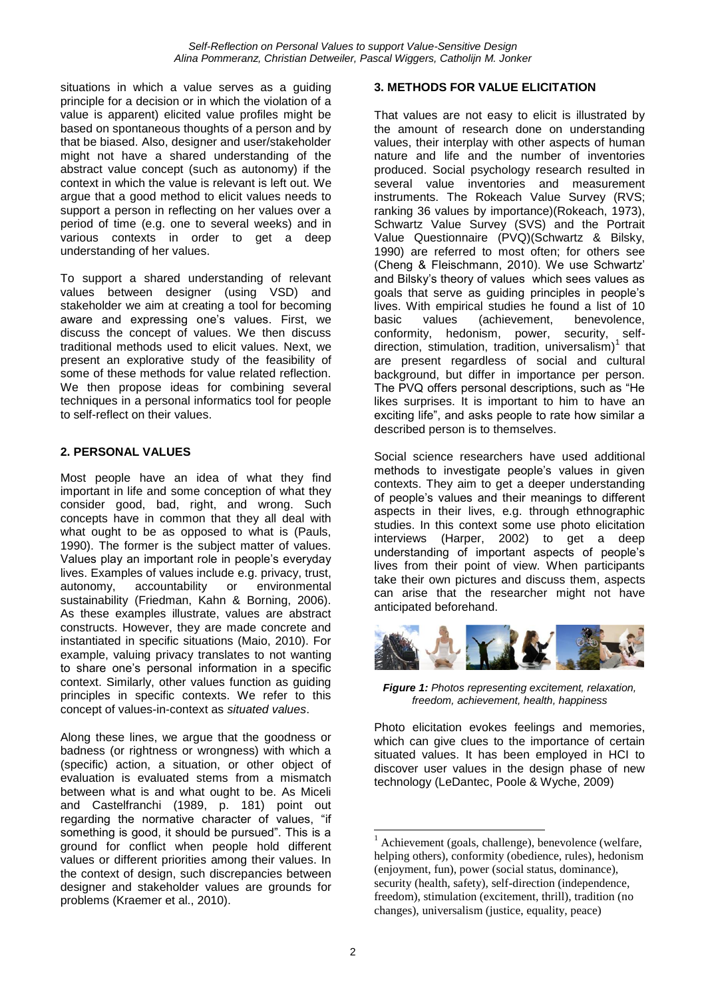situations in which a value serves as a guiding principle for a decision or in which the violation of a value is apparent) elicited value profiles might be based on spontaneous thoughts of a person and by that be biased. Also, designer and user/stakeholder might not have a shared understanding of the abstract value concept (such as autonomy) if the context in which the value is relevant is left out. We argue that a good method to elicit values needs to support a person in reflecting on her values over a period of time (e.g. one to several weeks) and in various contexts in order to get a deep understanding of her values.

To support a shared understanding of relevant values between designer (using VSD) and stakeholder we aim at creating a tool for becoming aware and expressing one's values. First, we discuss the concept of values. We then discuss traditional methods used to elicit values. Next, we present an explorative study of the feasibility of some of these methods for value related reflection. We then propose ideas for combining several techniques in a personal informatics tool for people to self-reflect on their values.

### **2. PERSONAL VALUES**

Most people have an idea of what they find important in life and some conception of what they consider good, bad, right, and wrong. Such concepts have in common that they all deal with what ought to be as opposed to what is (Pauls, 1990). The former is the subject matter of values. Values play an important role in people's everyday lives. Examples of values include e.g. privacy, trust, autonomy, accountability or environmental sustainability (Friedman, Kahn & Borning, 2006). As these examples illustrate, values are abstract constructs. However, they are made concrete and instantiated in specific situations (Maio, 2010). For example, valuing privacy translates to not wanting to share one's personal information in a specific context. Similarly, other values function as guiding principles in specific contexts. We refer to this concept of values-in-context as *situated values*.

Along these lines, we argue that the goodness or badness (or rightness or wrongness) with which a (specific) action, a situation, or other object of evaluation is evaluated stems from a mismatch between what is and what ought to be. As Miceli and Castelfranchi (1989, p. 181) point out regarding the normative character of values, "if something is good, it should be pursued". This is a ground for conflict when people hold different values or different priorities among their values. In the context of design, such discrepancies between designer and stakeholder values are grounds for problems (Kraemer et al., 2010).

#### **3. METHODS FOR VALUE ELICITATION**

That values are not easy to elicit is illustrated by the amount of research done on understanding values, their interplay with other aspects of human nature and life and the number of inventories produced. Social psychology research resulted in several value inventories and measurement instruments. The Rokeach Value Survey (RVS; ranking 36 values by importance)(Rokeach, 1973), Schwartz Value Survey (SVS) and the Portrait Value Questionnaire (PVQ)(Schwartz & Bilsky, 1990) are referred to most often; for others see (Cheng & Fleischmann, 2010). We use Schwartz' and Bilsky's theory of values which sees values as goals that serve as guiding principles in people's lives. With empirical studies he found a list of 10 basic values (achievement, benevolence, conformity, hedonism, power, security, selfdirection, stimulation, tradition, universalism)<sup>1</sup> that are present regardless of social and cultural background, but differ in importance per person. The PVQ offers personal descriptions, such as "He likes surprises. It is important to him to have an exciting life", and asks people to rate how similar a described person is to themselves.

Social science researchers have used additional methods to investigate people's values in given contexts. They aim to get a deeper understanding of people's values and their meanings to different aspects in their lives, e.g. through ethnographic studies. In this context some use photo elicitation interviews (Harper, 2002) to get a deep understanding of important aspects of people's lives from their point of view. When participants take their own pictures and discuss them, aspects can arise that the researcher might not have anticipated beforehand.



*Figure 1: Photos representing excitement, relaxation, freedom, achievement, health, happiness*

Photo elicitation evokes feelings and memories, which can give clues to the importance of certain situated values. It has been employed in HCI to discover user values in the design phase of new technology (LeDantec, Poole & Wyche, 2009)

<sup>1</sup>  $<sup>1</sup>$  Achievement (goals, challenge), benevolence (welfare,</sup> helping others), conformity (obedience, rules), hedonism (enjoyment, fun), power (social status, dominance), security (health, safety), self-direction (independence, freedom), stimulation (excitement, thrill), tradition (no changes), universalism (justice, equality, peace)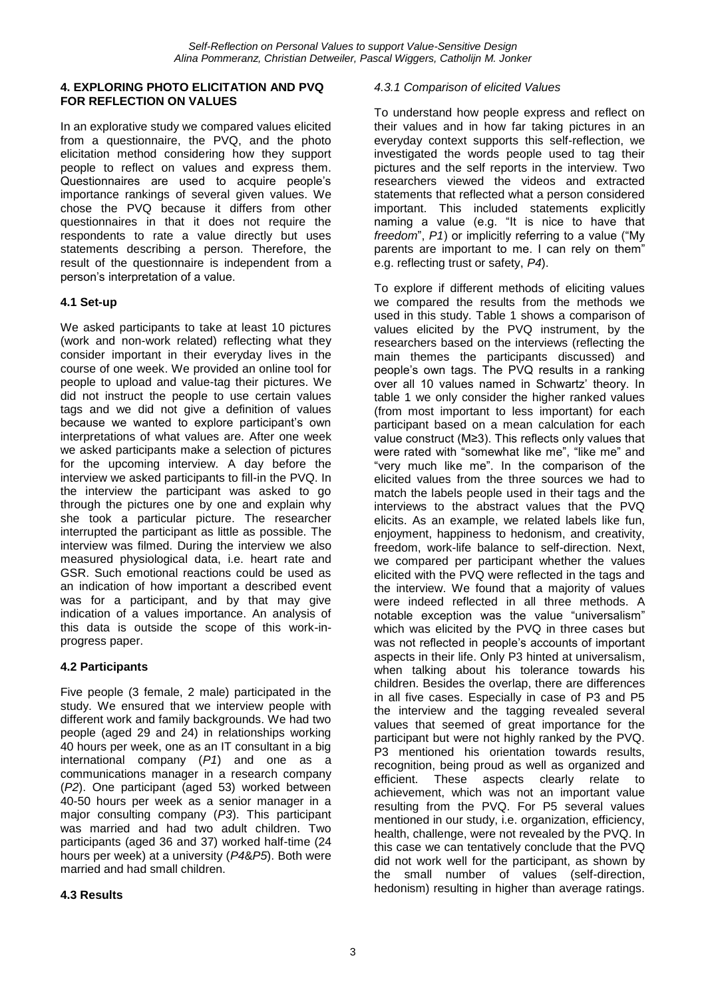#### **4. EXPLORING PHOTO ELICITATION AND PVQ FOR REFLECTION ON VALUES**

In an explorative study we compared values elicited from a questionnaire, the PVQ, and the photo elicitation method considering how they support people to reflect on values and express them. Questionnaires are used to acquire people's importance rankings of several given values. We chose the PVQ because it differs from other questionnaires in that it does not require the respondents to rate a value directly but uses statements describing a person. Therefore, the result of the questionnaire is independent from a person's interpretation of a value.

### **4.1 Set-up**

We asked participants to take at least 10 pictures (work and non-work related) reflecting what they consider important in their everyday lives in the course of one week. We provided an online tool for people to upload and value-tag their pictures. We did not instruct the people to use certain values tags and we did not give a definition of values because we wanted to explore participant's own interpretations of what values are. After one week we asked participants make a selection of pictures for the upcoming interview. A day before the interview we asked participants to fill-in the PVQ. In the interview the participant was asked to go through the pictures one by one and explain why she took a particular picture. The researcher interrupted the participant as little as possible. The interview was filmed. During the interview we also measured physiological data, i.e. heart rate and GSR. Such emotional reactions could be used as an indication of how important a described event was for a participant, and by that may give indication of a values importance. An analysis of this data is outside the scope of this work-inprogress paper.

# **4.2 Participants**

Five people (3 female, 2 male) participated in the study. We ensured that we interview people with different work and family backgrounds. We had two people (aged 29 and 24) in relationships working 40 hours per week, one as an IT consultant in a big international company (*P1*) and one as a communications manager in a research company (*P2*). One participant (aged 53) worked between 40-50 hours per week as a senior manager in a major consulting company (*P3*). This participant was married and had two adult children. Two participants (aged 36 and 37) worked half-time (24 hours per week) at a university (*P4*&*P5*). Both were married and had small children.

### **4.3 Results**

#### *4.3.1 Comparison of elicited Values*

To understand how people express and reflect on their values and in how far taking pictures in an everyday context supports this self-reflection, we investigated the words people used to tag their pictures and the self reports in the interview. Two researchers viewed the videos and extracted statements that reflected what a person considered important. This included statements explicitly naming a value (e.g. "It is nice to have that *freedom*", *P1*) or implicitly referring to a value ("My parents are important to me. I can rely on them" e.g. reflecting trust or safety, *P4*).

To explore if different methods of eliciting values we compared the results from the methods we used in this study. Table 1 shows a comparison of values elicited by the PVQ instrument, by the researchers based on the interviews (reflecting the main themes the participants discussed) and people's own tags. The PVQ results in a ranking over all 10 values named in Schwartz' theory. In table 1 we only consider the higher ranked values (from most important to less important) for each participant based on a mean calculation for each value construct (M≥3). This reflects only values that were rated with "somewhat like me", "like me" and "very much like me". In the comparison of the elicited values from the three sources we had to match the labels people used in their tags and the interviews to the abstract values that the PVQ elicits. As an example, we related labels like fun, enjoyment, happiness to hedonism, and creativity, freedom, work-life balance to self-direction. Next, we compared per participant whether the values elicited with the PVQ were reflected in the tags and the interview. We found that a majority of values were indeed reflected in all three methods. A notable exception was the value "universalism" which was elicited by the PVQ in three cases but was not reflected in people's accounts of important aspects in their life. Only P3 hinted at universalism, when talking about his tolerance towards his children. Besides the overlap, there are differences in all five cases. Especially in case of P3 and P5 the interview and the tagging revealed several values that seemed of great importance for the participant but were not highly ranked by the PVQ. P3 mentioned his orientation towards results, recognition, being proud as well as organized and efficient. These aspects clearly relate to achievement, which was not an important value resulting from the PVQ. For P5 several values mentioned in our study, i.e. organization, efficiency, health, challenge, were not revealed by the PVQ. In this case we can tentatively conclude that the PVQ did not work well for the participant, as shown by the small number of values (self-direction, hedonism) resulting in higher than average ratings.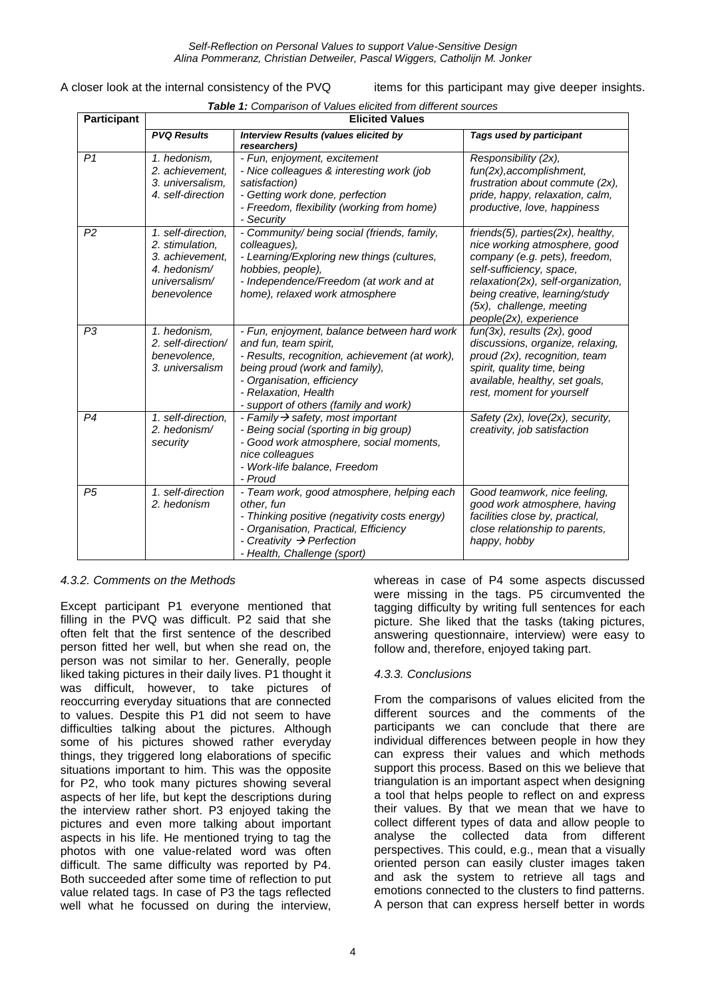*Self-Reflection on Personal Values to support Value-Sensitive Design Alina Pommeranz, Christian Detweiler, Pascal Wiggers, Catholijn M. Jonker*

| A closer look at the internal consistency of the PVQ |  |
|------------------------------------------------------|--|
|------------------------------------------------------|--|

items for this participant may give deeper insights.

| <b>Table 1:</b> Comparison of Values elicited from different sources |  |
|----------------------------------------------------------------------|--|
|                                                                      |  |

| <b>Participant</b> | <b>Elicited Values</b>                                                                                   |                                                                                                                                                                                                                                                         |                                                                                                                                                                                                                                                               |
|--------------------|----------------------------------------------------------------------------------------------------------|---------------------------------------------------------------------------------------------------------------------------------------------------------------------------------------------------------------------------------------------------------|---------------------------------------------------------------------------------------------------------------------------------------------------------------------------------------------------------------------------------------------------------------|
|                    | <b>PVQ Results</b>                                                                                       | <b>Interview Results (values elicited by</b><br>researchers)                                                                                                                                                                                            | Tags used by participant                                                                                                                                                                                                                                      |
| P <sub>1</sub>     | 1. hedonism.<br>2. achievement,<br>3. universalism,<br>4. self-direction                                 | - Fun, enjoyment, excitement<br>- Nice colleagues & interesting work (job<br>satisfaction)<br>- Getting work done, perfection<br>- Freedom, flexibility (working from home)<br>- Security                                                               | Responsibility (2x),<br>fun(2x), accomplishment,<br>frustration about commute (2x),<br>pride, happy, relaxation, calm,<br>productive, love, happiness                                                                                                         |
| P <sub>2</sub>     | 1. self-direction,<br>2. stimulation.<br>3. achievement.<br>4. hedonism/<br>universalism/<br>benevolence | - Community/ being social (friends, family,<br>colleagues),<br>- Learning/Exploring new things (cultures,<br>hobbies, people),<br>- Independence/Freedom (at work and at<br>home), relaxed work atmosphere                                              | friends(5), parties(2x), healthy,<br>nice working atmosphere, good<br>company (e.g. pets), freedom,<br>self-sufficiency, space,<br>relaxation(2x), self-organization,<br>being creative, learning/study<br>(5x), challenge, meeting<br>people(2x), experience |
| P <sub>3</sub>     | 1. hedonism,<br>2. self-direction/<br>benevolence.<br>3. universalism                                    | - Fun, enjoyment, balance between hard work<br>and fun, team spirit,<br>- Results, recognition, achievement (at work),<br>being proud (work and family),<br>- Organisation, efficiency<br>- Relaxation, Health<br>- support of others (family and work) | $fun(3x)$ , results $(2x)$ , good<br>discussions, organize, relaxing,<br>proud (2x), recognition, team<br>spirit, quality time, being<br>available, healthy, set goals,<br>rest, moment for yourself                                                          |
| P <sub>4</sub>     | 1. self-direction,<br>2. hedonism/<br>security                                                           | - Family $\rightarrow$ safety, most important<br>- Being social (sporting in big group)<br>- Good work atmosphere, social moments,<br>nice colleagues<br>- Work-life balance, Freedom<br>- Proud                                                        | Safety (2x), love(2x), security,<br>creativity, job satisfaction                                                                                                                                                                                              |
| P <sub>5</sub>     | 1. self-direction<br>2. hedonism                                                                         | - Team work, good atmosphere, helping each<br>other, fun<br>- Thinking positive (negativity costs energy)<br>- Organisation, Practical, Efficiency<br>- Creativity $\rightarrow$ Perfection<br>- Health, Challenge (sport)                              | Good teamwork, nice feeling,<br>good work atmosphere, having<br>facilities close by, practical,<br>close relationship to parents,<br>happy, hobby                                                                                                             |

#### *4.3.2. Comments on the Methods*

Except participant P1 everyone mentioned that filling in the PVQ was difficult. P2 said that she often felt that the first sentence of the described person fitted her well, but when she read on, the person was not similar to her. Generally, people liked taking pictures in their daily lives. P1 thought it was difficult, however, to take pictures of reoccurring everyday situations that are connected to values. Despite this P1 did not seem to have difficulties talking about the pictures. Although some of his pictures showed rather everyday things, they triggered long elaborations of specific situations important to him. This was the opposite for P2, who took many pictures showing several aspects of her life, but kept the descriptions during the interview rather short. P3 enjoyed taking the pictures and even more talking about important aspects in his life. He mentioned trying to tag the photos with one value-related word was often difficult. The same difficulty was reported by P4. Both succeeded after some time of reflection to put value related tags. In case of P3 the tags reflected well what he focussed on during the interview,

whereas in case of P4 some aspects discussed were missing in the tags. P5 circumvented the tagging difficulty by writing full sentences for each picture. She liked that the tasks (taking pictures, answering questionnaire, interview) were easy to follow and, therefore, enjoyed taking part.

#### *4.3.3. Conclusions*

From the comparisons of values elicited from the different sources and the comments of the participants we can conclude that there are individual differences between people in how they can express their values and which methods support this process. Based on this we believe that triangulation is an important aspect when designing a tool that helps people to reflect on and express their values. By that we mean that we have to collect different types of data and allow people to analyse the collected data from different perspectives. This could, e.g., mean that a visually oriented person can easily cluster images taken and ask the system to retrieve all tags and emotions connected to the clusters to find patterns. A person that can express herself better in words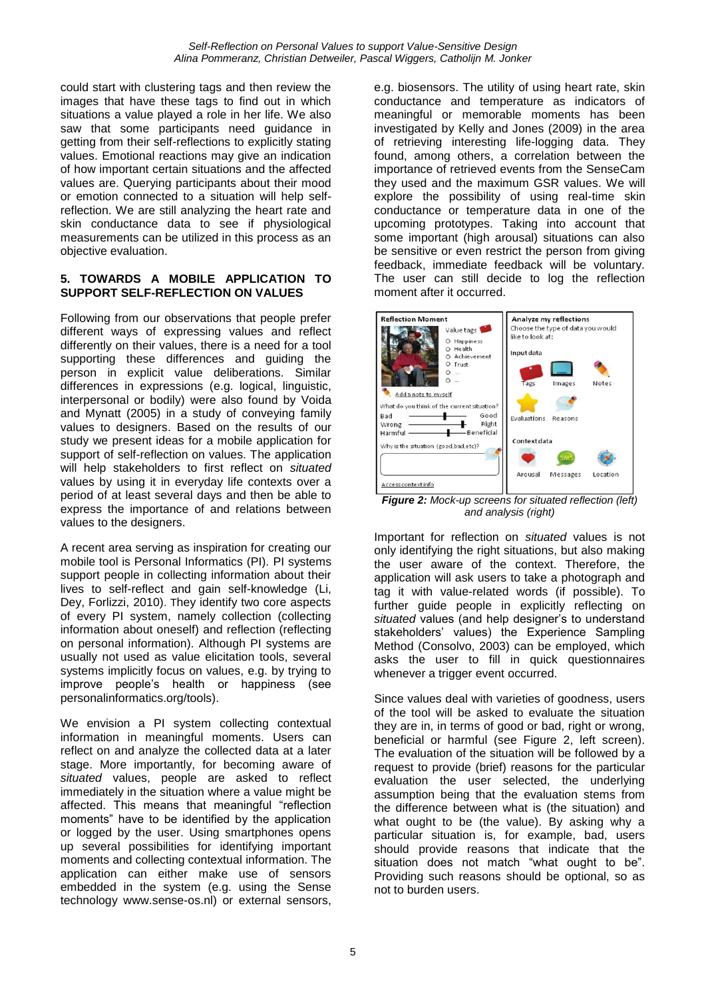could start with clustering tags and then review the images that have these tags to find out in which situations a value played a role in her life. We also saw that some participants need guidance in getting from their self-reflections to explicitly stating values. Emotional reactions may give an indication of how important certain situations and the affected values are. Querying participants about their mood or emotion connected to a situation will help selfreflection. We are still analyzing the heart rate and skin conductance data to see if physiological measurements can be utilized in this process as an objective evaluation.

#### **5. TOWARDS A MOBILE APPLICATION TO SUPPORT SELF-REFLECTION ON VALUES**

Following from our observations that people prefer different ways of expressing values and reflect differently on their values, there is a need for a tool supporting these differences and guiding the person in explicit value deliberations. Similar differences in expressions (e.g. logical, linguistic, interpersonal or bodily) were also found by Voida and Mynatt (2005) in a study of conveying family values to designers. Based on the results of our study we present ideas for a mobile application for support of self-reflection on values. The application will help stakeholders to first reflect on *situated* values by using it in everyday life contexts over a period of at least several days and then be able to express the importance of and relations between values to the designers.

A recent area serving as inspiration for creating our mobile tool is Personal Informatics (PI). PI systems support people in collecting information about their lives to self-reflect and gain self-knowledge (Li, Dey, Forlizzi, 2010). They identify two core aspects of every PI system, namely collection (collecting information about oneself) and reflection (reflecting on personal information). Although PI systems are usually not used as value elicitation tools, several systems implicitly focus on values, e.g. by trying to improve people's health or happiness (see personalinformatics.org/tools).

We envision a PI system collecting contextual information in meaningful moments. Users can reflect on and analyze the collected data at a later stage. More importantly, for becoming aware of *situated* values, people are asked to reflect immediately in the situation where a value might be affected. This means that meaningful "reflection moments" have to be identified by the application or logged by the user. Using smartphones opens up several possibilities for identifying important moments and collecting contextual information. The application can either make use of sensors embedded in the system (e.g. using the Sense technology www.sense-os.nl) or external sensors,

e.g. biosensors. The utility of using heart rate, skin conductance and temperature as indicators of meaningful or memorable moments has been investigated by Kelly and Jones (2009) in the area of retrieving interesting life-logging data. They found, among others, a correlation between the importance of retrieved events from the SenseCam they used and the maximum GSR values. We will explore the possibility of using real-time skin conductance or temperature data in one of the upcoming prototypes. Taking into account that some important (high arousal) situations can also be sensitive or even restrict the person from giving feedback, immediate feedback will be voluntary. The user can still decide to log the reflection moment after it occurred.



*Figure 2: Mock-up screens for situated reflection (left) and analysis (right)*

Important for reflection on *situated* values is not only identifying the right situations, but also making the user aware of the context. Therefore, the application will ask users to take a photograph and tag it with value-related words (if possible). To further guide people in explicitly reflecting on *situated* values (and help designer's to understand stakeholders' values) the Experience Sampling Method (Consolvo, 2003) can be employed, which asks the user to fill in quick questionnaires whenever a trigger event occurred.

Since values deal with varieties of goodness, users of the tool will be asked to evaluate the situation they are in, in terms of good or bad, right or wrong, beneficial or harmful (see Figure 2, left screen). The evaluation of the situation will be followed by a request to provide (brief) reasons for the particular evaluation the user selected, the underlying assumption being that the evaluation stems from the difference between what is (the situation) and what ought to be (the value). By asking why a particular situation is, for example, bad, users should provide reasons that indicate that the situation does not match "what ought to be". Providing such reasons should be optional, so as not to burden users.